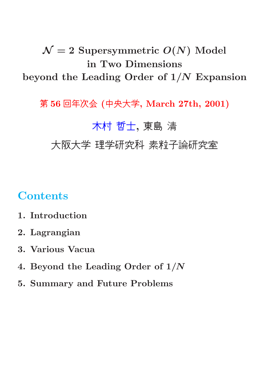## $\mathcal{N}=2$  Supersymmetric  $O(N)$  Model in Two Dimensions beyond the Leading Order of  $1/N$  Expansion

第 56 回年次会 (中央大学, March 27th, 2001)

### 木村 哲士, 東島 清

大阪大学 理学研究科 素粒子論研究室

### **Contents**

- 1. Introduction
- 2. Lagrangian
- 3. Various Vacua
- 4. Beyond the Leading Order of 1/N
- 5. Summary and Future Problems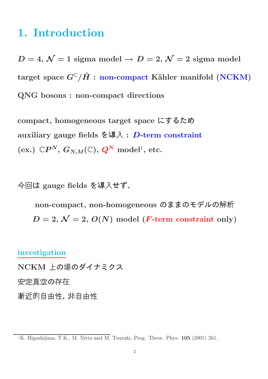### 1. Introduction

 $D=4, \mathcal{N}=1$  sigma model  $\rightarrow D=2, \mathcal{N}=2$  sigma model target space  $G^{\mathbb{C}}/\hat{H}$ : non-compact Kähler manifold (NCKM) QNG bosons : non-compact directions

compact, homogeneous target space にするため auxiliary gauge fields を導入 : D-term constraint  $(\mathrm{ex.})\,\; \mathbb{C}P^{N},\, G_{N,M}(\mathbb{C}),\, Q^{N}\,\, \mathrm{model}^{1},\, \mathrm{etc.}$ 

今回は gauge fields を導入せず、

non-compact, non-homogeneous のままのモデルの解析  $D = 2, \mathcal{N} = 2, O(N)$  model (*F*-term constraint only)

investigation NCKM 上の場のダイナミクス 安定真空の存在 漸近的自由性, 非自由性

<sup>&</sup>lt;sup>1</sup>K. Higashijima, T.K., M. Nitta and M. Tsuzuki, Prog. Theor. Phys.  $105$  (2001) 261.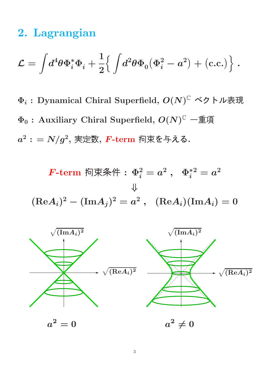## 2. Lagrangian

$$
\mathcal{L} = \int \! d^4 \theta \Phi_i^* \Phi_i + \frac{1}{2} \! \Big\{ \int \! d^2 \theta \Phi_0 \big( \Phi_i^2 - a^2 \big) + \big( \text{c.c.} \big) \Big\} \; .
$$

 $\Phi_i$  : Dynamical Chiral Superfield,  $O(N)^{\mathbb{C}}$  ベクトル表現  $\Phi_0$ : Auxiliary Chiral Superfield,  $O(N)^{\mathbb{C}}$  一重項  $a^2: = N/g^2,$  実定数,  $\boldsymbol{F}\text{-}\mathbf{term}$  拘束を与える.

 $\textit{\textbf{F-term}}\ \ \textit{\textbf{m}}$ 束条件: $\ \Phi_i^2=a^2\ ,\ \ \ \Phi_i^{*2}=a^2$ ⇓  $({\rm Re} A_i)^2 - ({\rm Im} A_j)^2 = a^2 \ , \ \ ({\rm Re} A_i) ({\rm Im} A_i) = 0$ 

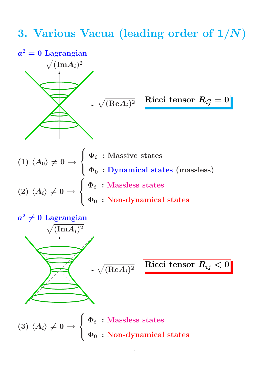## 3. Various Vacua (leading order of 1/N)

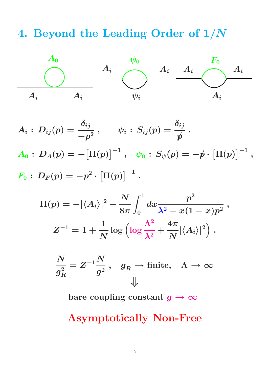## 4. Beyond the Leading Order of 1/N



 $A_i:\,D_{ij}(p)=$  $\delta_{ij}$  $-p^2$  $\,,\qquad \psi_i\,:\,S_{ij}(p)=$  $\delta_{ij}$  $\rlap/p$ .  $A_0: \, D_A(p) = -\big[\Pi(p)\big]^{-1}\ , \ \ \ \psi_0: \, S_\psi(p) = -\rlap/p \cdot \big[\Pi(p)\big]^{-1}\ ,$  $\displaystyle{F_0:\,D_F(p)=-p^2}$  $\cdot\left[\Pi(p)\right]^{-1}.$ 

$$
\Pi(p)=-|\langle A_i\rangle|^2+\frac{N}{8\pi}\int_0^1dx\frac{p^2}{\lambda^2-x(1-x)p^2}\ ,
$$
  

$$
Z^{-1}=1+\frac{1}{N}\log\left(\log\frac{\Lambda^2}{\lambda^2}+\frac{4\pi}{N}|\langle A_i\rangle|^2\right)\ .
$$

$$
\frac{N}{g_R^2} = Z^{-1} \frac{N}{g^2} \,, \quad g_R \to \text{finite}, \quad \Lambda \to \infty
$$

bare coupling constant  $g \to \infty$ 

#### Asymptotically Non-Free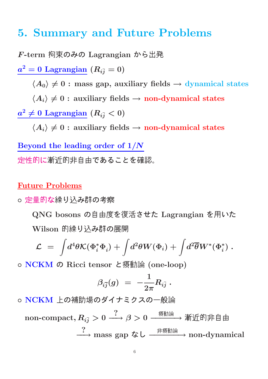### 5. Summary and Future Problems

F-term 拘束のみの Lagrangian から出発  $\bm{a^2}= \bm{0} \, \, \text{Lagrangian} \, \left(R_{i\bar{j}}=0\right)$  $\langle A_0 \rangle \neq 0$ : mass gap, auxiliary fields  $\rightarrow$  dynamical states  $\langle A_i \rangle \neq 0$ : auxiliary fields  $\rightarrow$  non-dynamical states  $a^2\neq 0$  Lagrangian  $(R_{i\bar{j}} < 0)$  $\langle A_i \rangle \neq 0$ : auxiliary fields  $\rightarrow$  non-dynamical states Beyond the leading order of 1/N 定性的に漸近的非自由であることを確認。

#### Future Problems

○ 定量的な繰り込み群の考察

QNG bosons の自由度を復活させた Lagrangian を用いた Wilson 的繰り込み群の展開

$$
{\cal L} \;=\; \int \! d^4\theta {\cal K} (\Phi_i^* \Phi_i) + \int \! d^2\theta W(\Phi_i) + \int \! d^2\overline{\theta} W^* (\Phi_i^*) \;.
$$

◦ NCKM の Ricci tensor と摂動論 (one-loop)

$$
\beta_{i\bar{j}}(g) \,\,=\,\, - \frac{1}{2\pi} R_{i\bar{j}} \; .
$$

◦ NCKM 上の補助場のダイナミクスの一般論

non-compact, Ri¯<sup>j</sup> > 0 ? −−→ β > 0 摂動論 −−−−−→ 漸近的非自由 ? −−→ mass gap なし 非摂動論 −−−−−−→ non-dynamical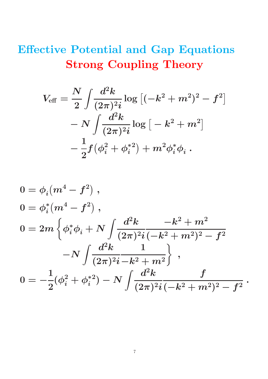# Effective Potential and Gap Equations Strong Coupling Theory

$$
V_{\text{eff}} = \frac{N}{2} \int \frac{d^2 k}{(2\pi)^2 i} \log \left[ (-k^2 + m^2)^2 - f^2 \right] - N \int \frac{d^2 k}{(2\pi)^2 i} \log \left[ -k^2 + m^2 \right] - \frac{1}{2} f (\phi_i^2 + \phi_i^{*2}) + m^2 \phi_i^* \phi_i .
$$

$$
0 = \phi_i (m^4 - f^2) ,
$$
  
\n
$$
0 = \phi_i^* (m^4 - f^2) ,
$$
  
\n
$$
0 = 2m \left\{ \phi_i^* \phi_i + N \int \frac{d^2 k}{(2\pi)^2 i (-k^2 + m^2)^2 - f^2} -N \int \frac{d^2 k}{(2\pi)^2 i - k^2 + m^2} \right\} ,
$$
  
\n
$$
0 = -\frac{1}{2} (\phi_i^2 + \phi_i^{*2}) - N \int \frac{d^2 k}{(2\pi)^2 i (-k^2 + m^2)^2 - f^2} .
$$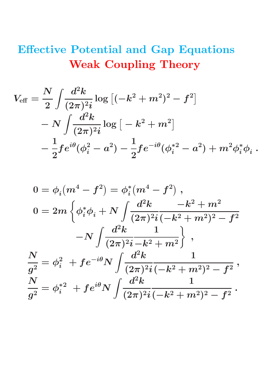# Effective Potential and Gap Equations Weak Coupling Theory

$$
\begin{aligned} V_{\text{eff}} &= \frac{N}{2} \int \!\! \frac{d^2k}{(2\pi)^2 i} \log\left[(-k^2+m^2)^2 - f^2\right] \\ &- N \int \!\! \frac{d^2k}{(2\pi)^2 i} \log\left[-k^2+m^2\right] \\ &- \frac{1}{2} f e^{i\theta} (\phi_i^2-a^2) - \frac{1}{2} f e^{-i\theta} (\phi_i^{*2}-a^2) + m^2 \phi_i^* \phi_i~. \end{aligned}
$$

$$
\begin{aligned} 0&=\phi_i(m^4-f^2)=\phi_i^*(m^4-f^2)\;,\\ 0&=2m\left\{\phi_i^*\phi_i+N\int\frac{d^2k}{(2\pi)^2i}\frac{-k^2+m^2}{(-k^2+m^2)^2-f^2}\right.\\ &\left. -N\int\frac{d^2k}{(2\pi)^2i}\frac{1}{-k^2+m^2}\right\}\;,\\ \frac{N}{g^2}&=\phi_i^2\ +fe^{-i\theta}N\int\frac{d^2k}{(2\pi)^2i}\frac{1}{(-k^2+m^2)^2-f^2}\;,\\ \frac{N}{g^2}&=\phi_i^{*2}\ +fe^{i\theta}N\int\frac{d^2k}{(2\pi)^2i}\frac{1}{(-k^2+m^2)^2-f^2}\;. \end{aligned}
$$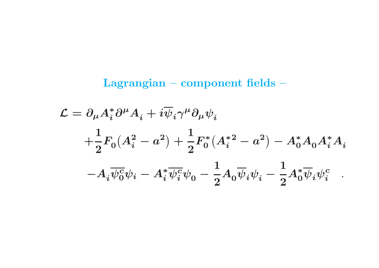## Lagrangian – component fields –

$$
\begin{aligned} \mathcal{L} &= \partial_\mu A_i^* \partial^\mu A_i + i \overline{\psi}_i \gamma^\mu \partial_\mu \psi_i \\ &+ \frac{1}{2} F_0 (A_i^2 - a^2) + \frac{1}{2} F_0^* (A_i^{*2} - a^2) - A_0^* A_0 A_i^* A_i \\ &- A_i \overline{\psi_0^c} \psi_i - A_i^* \overline{\psi_i^c} \psi_0 - \frac{1}{2} A_0 \overline{\psi}_i \psi_i - \frac{1}{2} A_0^* \overline{\psi}_i \psi_i^c \end{aligned}.
$$